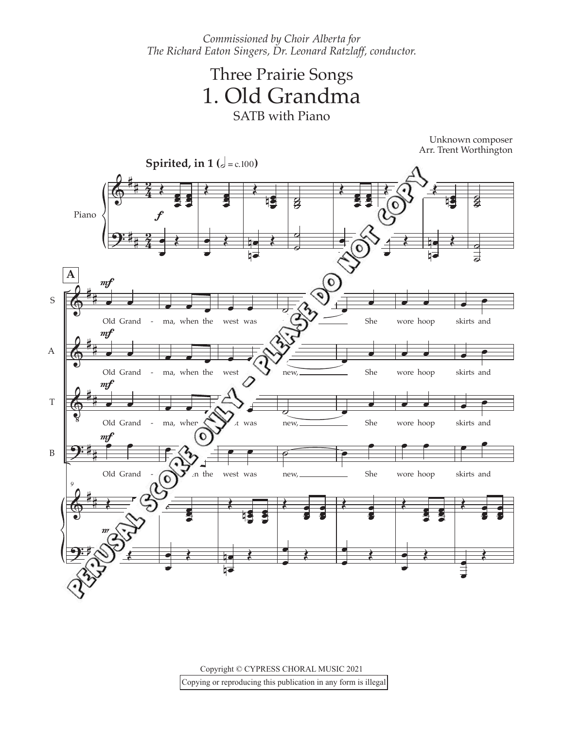*Commissioned by Choir Alberta for The Richard Eaton Singers, Dr. Leonard Ratzlaff, conductor.*

## 1. Old Grandma SATB with Piano Three Prairie Songs



Unknown composer Arr. Trent Worthington

Copyright © CYPRESS CHORAL MUSIC 2021 Copying or reproducing this publication in any form is illegal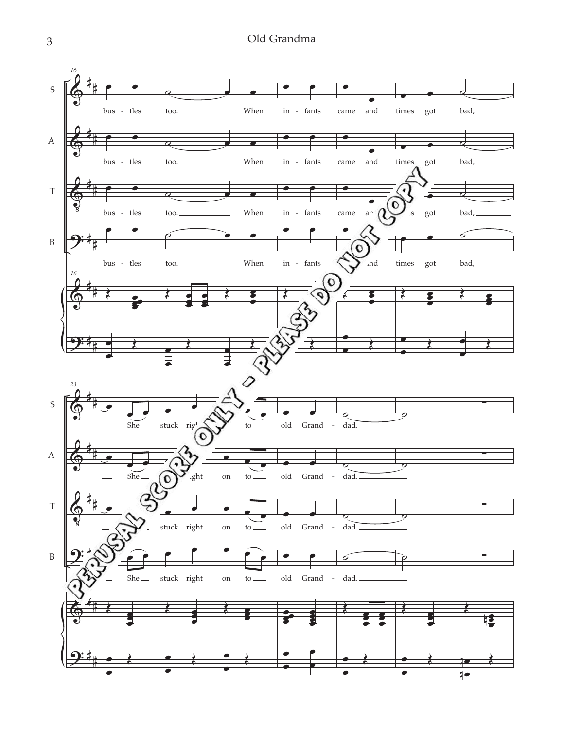Old Grandma

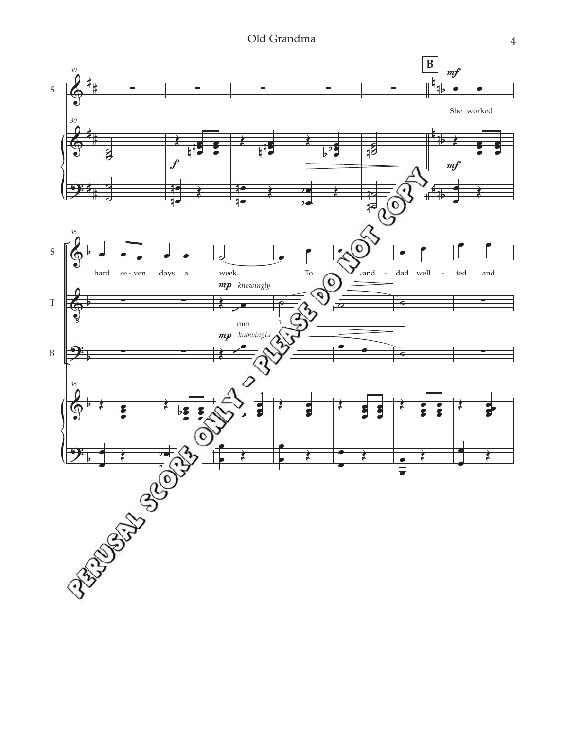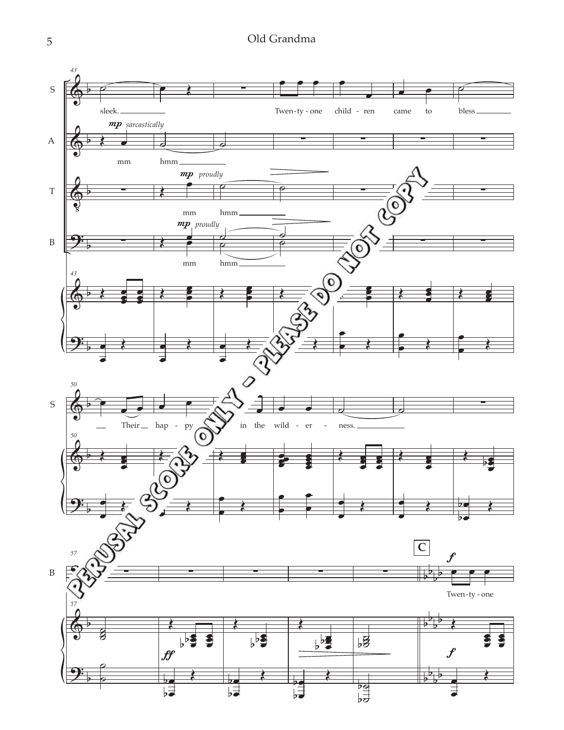5 Old Grandma

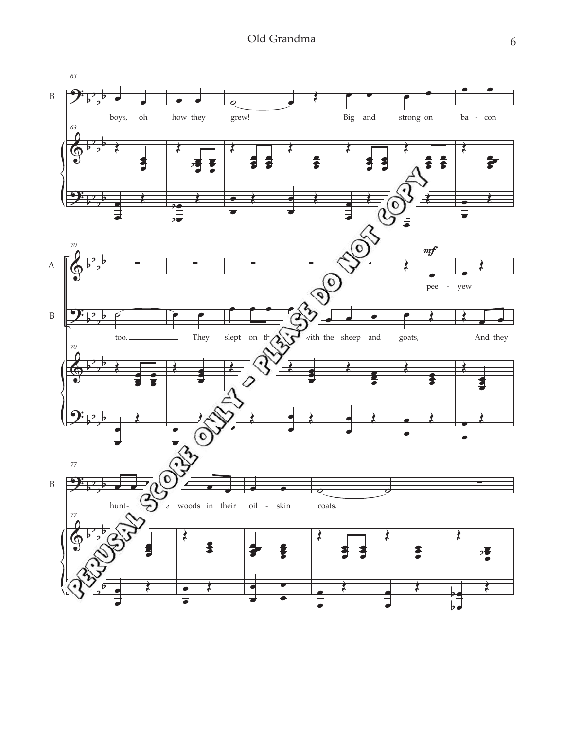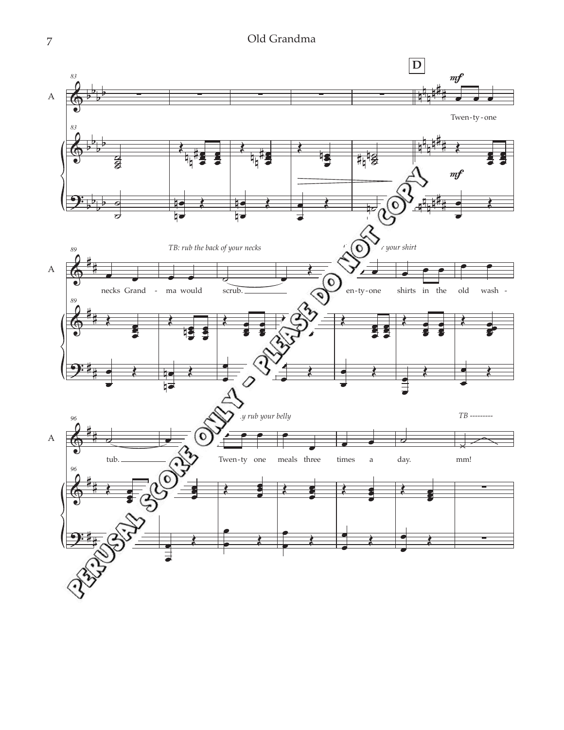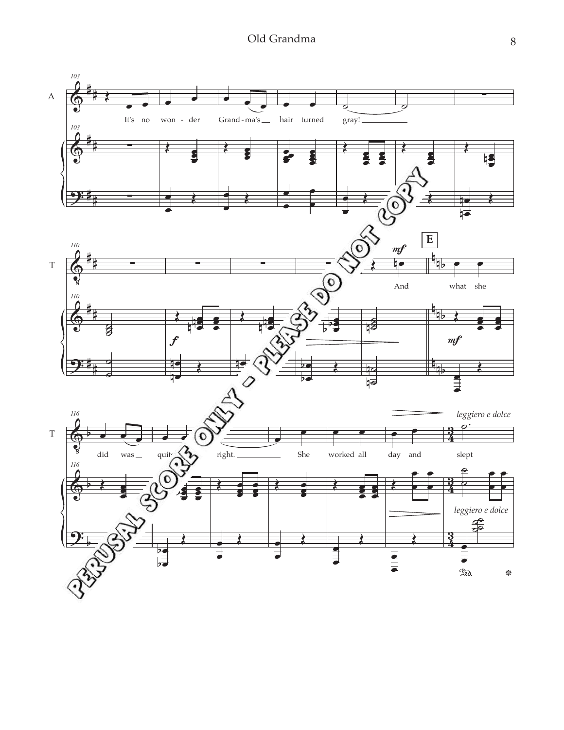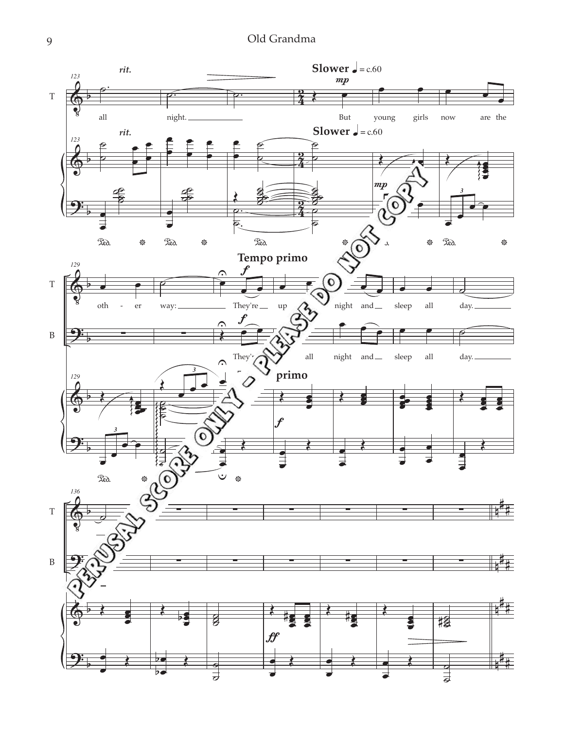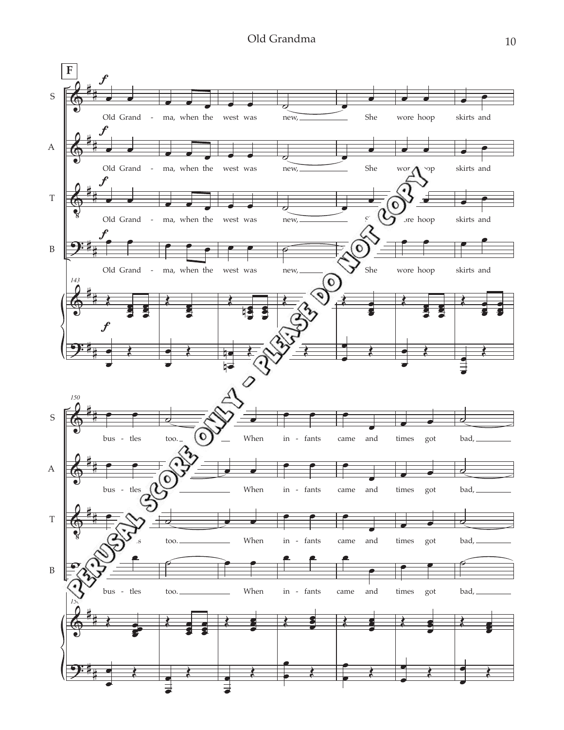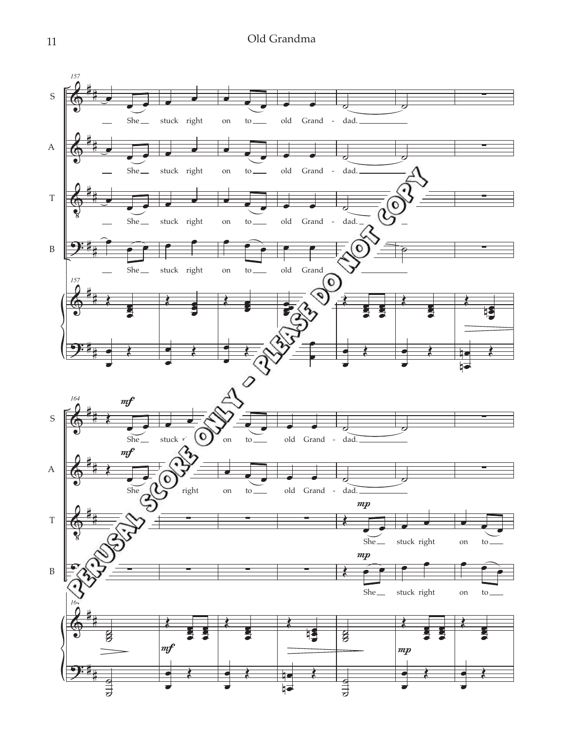